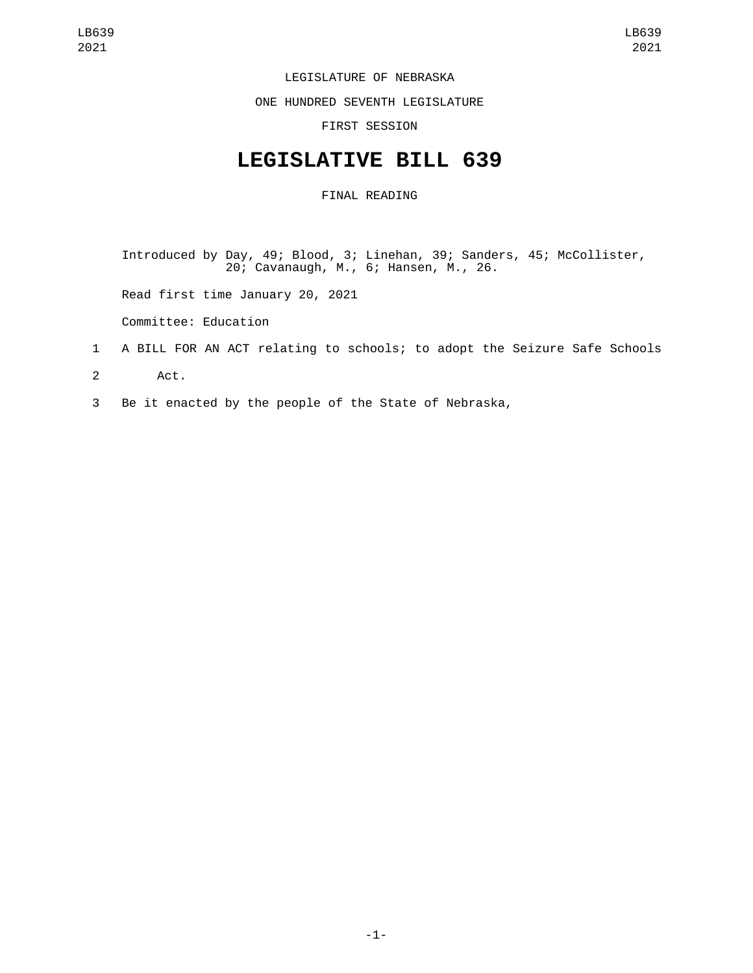## LEGISLATURE OF NEBRASKA

ONE HUNDRED SEVENTH LEGISLATURE

FIRST SESSION

## **LEGISLATIVE BILL 639**

## FINAL READING

Introduced by Day, 49; Blood, 3; Linehan, 39; Sanders, 45; McCollister, 20; Cavanaugh, M., 6; Hansen, M., 26.

Read first time January 20, 2021

Committee: Education

## 1 A BILL FOR AN ACT relating to schools; to adopt the Seizure Safe Schools

2 Act.

3 Be it enacted by the people of the State of Nebraska,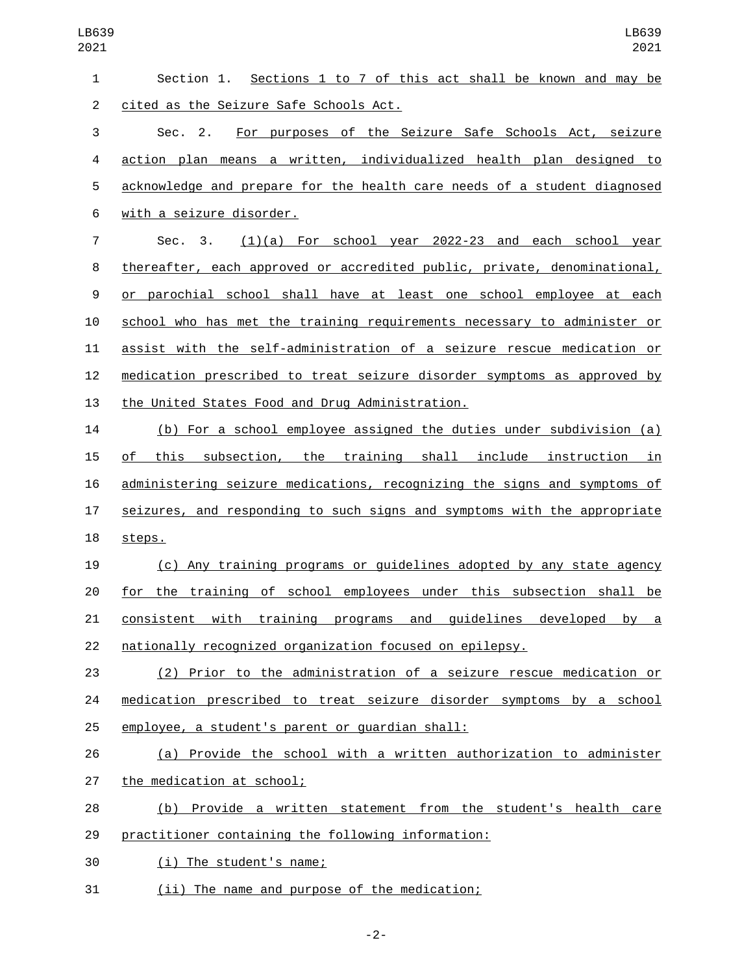| $\mathbf{1}$   | Sections 1 to 7 of this act shall be known and may be<br>Section 1.      |
|----------------|--------------------------------------------------------------------------|
| $\overline{2}$ | cited as the Seizure Safe Schools Act.                                   |
| 3              | Sec. 2. For purposes of the Seizure Safe Schools Act, seizure            |
| 4              | action plan means a written, individualized health plan designed to      |
| 5              | acknowledge and prepare for the health care needs of a student diagnosed |
| 6              | with a seizure disorder.                                                 |
| $\overline{7}$ | Sec. 3.<br>$(1)(a)$ For school year 2022-23 and each school year         |
| 8              | thereafter, each approved or accredited public, private, denominational, |
| 9              | or parochial school shall have at least one school employee at each      |
| 10             | school who has met the training requirements necessary to administer or  |
| 11             | assist with the self-administration of a seizure rescue medication or    |
| 12             | medication prescribed to treat seizure disorder symptoms as approved by  |
| 13             | the United States Food and Drug Administration.                          |
| 14             | (b) For a school employee assigned the duties under subdivision (a)      |
| 15             | this subsection, the training shall include instruction in<br>0f         |
| 16             | administering seizure medications, recognizing the signs and symptoms of |
| 17             | seizures, and responding to such signs and symptoms with the appropriate |
| 18             | steps.                                                                   |
| 19             | (c) Any training programs or guidelines adopted by any state agency      |
| 20             | for the training of school employees under this subsection shall be      |
| 21             | consistent with training programs and guidelines developed by a          |
| 22             | nationally recognized organization focused on epilepsy.                  |
| 23             | (2) Prior to the administration of a seizure rescue medication or        |
| 24             | medication prescribed to treat seizure disorder symptoms by a school     |
| 25             | employee, a student's parent or guardian shall:                          |
| 26             | (a) Provide the school with a written authorization to administer        |
| 27             | the medication at school;                                                |
| 28             | (b) Provide a written statement from the student's health care           |
| 29             | practitioner containing the following information:                       |
| 30             | (i) The student's name;                                                  |
| 31             | (ii) The name and purpose of the medication;                             |

-2-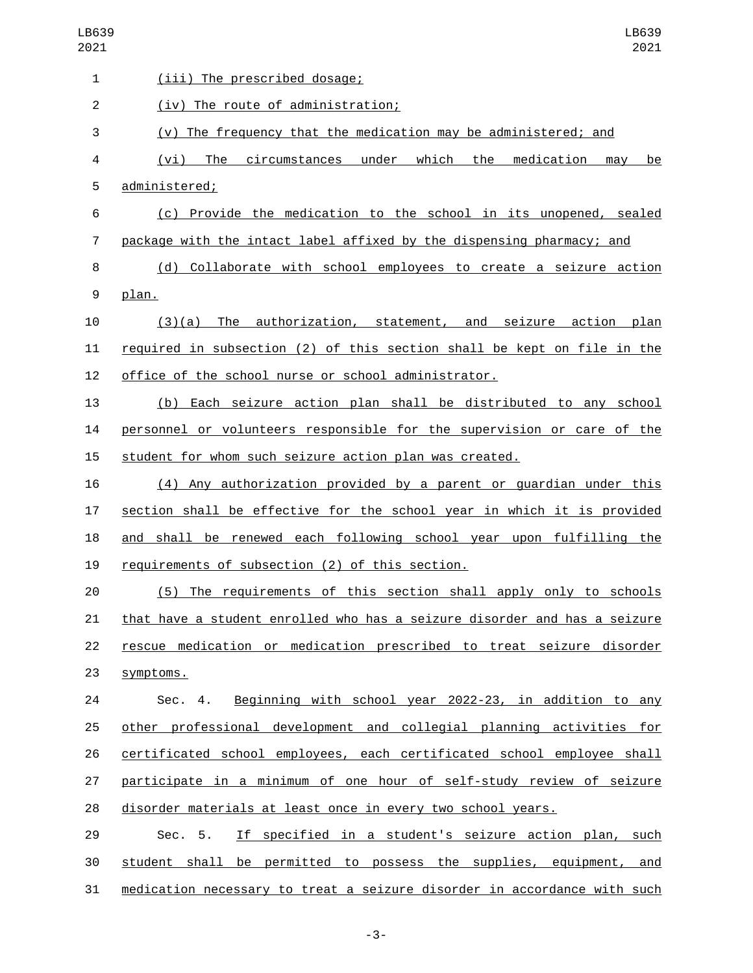| LB639<br>2021  | LB639<br>2021                                                                        |
|----------------|--------------------------------------------------------------------------------------|
| 1              | (iii) The prescribed dosage;                                                         |
| $\overline{c}$ | (iv) The route of administration;                                                    |
| 3              | (v) The frequency that the medication may be administered; and                       |
| 4              | circumstances under<br>which<br>the<br>medication<br>(vi)<br>The<br>may<br><u>be</u> |
| 5              | administered;                                                                        |
| 6              | (c) Provide the medication to the school in its unopened, sealed                     |
| $\overline{7}$ | package with the intact label affixed by the dispensing pharmacy; and                |
| 8              | (d) Collaborate with school employees to create a seizure action                     |
| 9              | plan.                                                                                |
| 10             | authorization, statement, and seizure action<br>(3)(a)<br>The<br>plan                |
| 11             | required in subsection (2) of this section shall be kept on file in the              |
| 12             | office of the school nurse or school administrator.                                  |
| 13             | (b) Each seizure action plan shall be distributed to any school                      |
| 14             | personnel or volunteers responsible for the supervision or care of the               |
| 15             | student for whom such seizure action plan was created.                               |
| 16             | (4) Any authorization provided by a parent or quardian under this                    |
| 17             | section shall be effective for the school year in which it is provided               |
| 18             | and shall be renewed each following school year upon fulfilling the                  |
| 19             | requirements of subsection (2) of this section.                                      |
| 20             | (5) The requirements of this section shall apply only to schools                     |
| 21             | that have a student enrolled who has a seizure disorder and has a seizure            |
| 22             | rescue medication or medication prescribed to treat seizure disorder                 |
| 23             | symptoms.                                                                            |
| 24             | Sec. 4. Beginning with school year 2022-23, in addition to any                       |
| 25             | other professional development and collegial planning activities for                 |
| 26             | certificated school employees, each certificated school employee shall               |
| 27             | participate in a minimum of one hour of self-study review of seizure                 |
| 28             | disorder materials at least once in every two school years.                          |
| 29             | If specified in a student's seizure action plan, such<br>Sec. 5.                     |
| 30             | student shall be permitted to possess the supplies, equipment, and                   |
| 31             | medication necessary to treat a seizure disorder in accordance with such             |

-3-